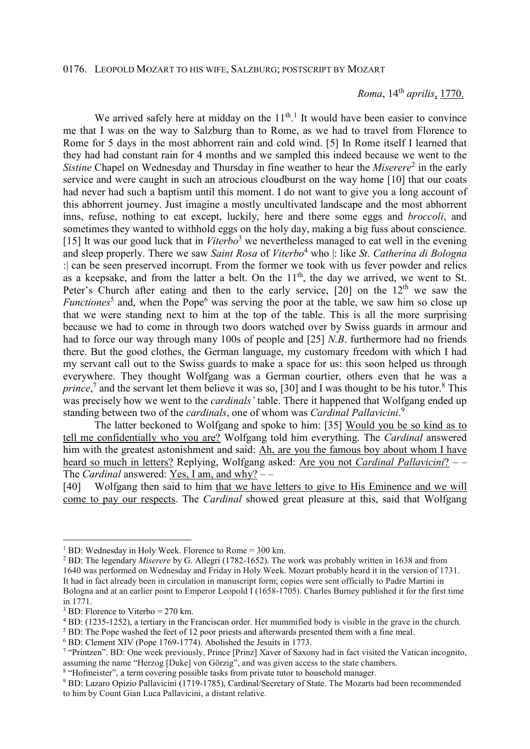*Roma*, 14th *aprilis*, 1770.

We arrived safely here at midday on the  $11<sup>th,1</sup>$  It would have been easier to convince me that I was on the way to Salzburg than to Rome, as we had to travel from Florence to Rome for 5 days in the most abhorrent rain and cold wind. [5] In Rome itself I learned that they had had constant rain for 4 months and we sampled this indeed because we went to the Sistine Chapel on Wednesday and Thursday in fine weather to hear the *Miserere*<sup>2</sup> in the early service and were caught in such an atrocious cloudburst on the way home [10] that our coats had never had such a baptism until this moment. I do not want to give you a long account of this abhorrent journey. Just imagine a mostly uncultivated landscape and the most abhorrent inns, refuse, nothing to eat except, luckily, here and there some eggs and *broccoli*, and sometimes they wanted to withhold eggs on the holy day, making a big fuss about conscience. [15] It was our good luck that in Viterbo<sup>3</sup> we nevertheless managed to eat well in the evening and sleep properly. There we saw *Saint Rosa* of *Viterbo*<sup>4</sup> who |: like *St*. *Catherina di Bologna* :| can be seen preserved incorrupt. From the former we took with us fever powder and relics as a keepsake, and from the latter a belt. On the  $11<sup>th</sup>$ , the day we arrived, we went to St. Peter's Church after eating and then to the early service,  $[20]$  on the  $12<sup>th</sup>$  we saw the *Functiones*<sup>5</sup> and, when the Pope<sup>6</sup> was serving the poor at the table, we saw him so close up that we were standing next to him at the top of the table. This is all the more surprising because we had to come in through two doors watched over by Swiss guards in armour and had to force our way through many 100s of people and [25] *N.B*. furthermore had no friends there. But the good clothes, the German language, my customary freedom with which I had my servant call out to the Swiss guards to make a space for us: this soon helped us through everywhere. They thought Wolfgang was a German courtier, others even that he was a prince,<sup>7</sup> and the servant let them believe it was so, [30] and I was thought to be his tutor.<sup>8</sup> This was precisely how we went to the *cardinals'* table. There it happened that Wolfgang ended up standing between two of the *cardinals*, one of whom was *Cardinal Pallavicini*. 9

 The latter beckoned to Wolfgang and spoke to him: [35] Would you be so kind as to tell me confidentially who you are? Wolfgang told him everything. The *Cardinal* answered him with the greatest astonishment and said: Ah, are you the famous boy about whom I have heard so much in letters? Replying, Wolfgang asked: Are you not *Cardinal Pallavicini*? – – The *Cardinal* answered: Yes, I am, and why? – –

[40] Wolfgang then said to him that we have letters to give to His Eminence and we will come to pay our respects. The *Cardinal* showed great pleasure at this, said that Wolfgang

 $\overline{a}$ 

<sup>&</sup>lt;sup>1</sup> BD: Wednesday in Holy Week. Florence to Rome = 300 km.

<sup>2</sup> BD: The legendary *Miserere* by G. Allegri (1782-1652). The work was probably written in 1638 and from 1640 was performed on Wednesday and Friday in Holy Week. Mozart probably heard it in the version of 1731. It had in fact already been in circulation in manuscript form; copies were sent officially to Padre Martini in Bologna and at an earlier point to Emperor Leopold I (1658-1705). Charles Burney published it for the first time in 1771.

 $3$  BD: Florence to Viterbo = 270 km.

<sup>4</sup> BD: (1235-1252), a tertiary in the Franciscan order. Her mummified body is visible in the grave in the church.

<sup>&</sup>lt;sup>5</sup> BD: The Pope washed the feet of 12 poor priests and afterwards presented them with a fine meal.

<sup>6</sup> BD: Clement XIV (Pope 1769-1774). Abolished the Jesuits in 1773.

<sup>7</sup> "Printzen". BD: One week previously, Prince [Prinz] Xaver of Saxony had in fact visited the Vatican incognito, assuming the name "Herzog [Duke] von Görzig", and was given access to the state chambers.

<sup>&</sup>lt;sup>8</sup> "Hofmeister", a term covering possible tasks from private tutor to household manager.

<sup>&</sup>lt;sup>9</sup> BD: Lazaro Opizio Pallavicini (1719-1785), Cardinal/Secretary of State. The Mozarts had been recommended to him by Count Gian Luca Pallavicini, a distant relative.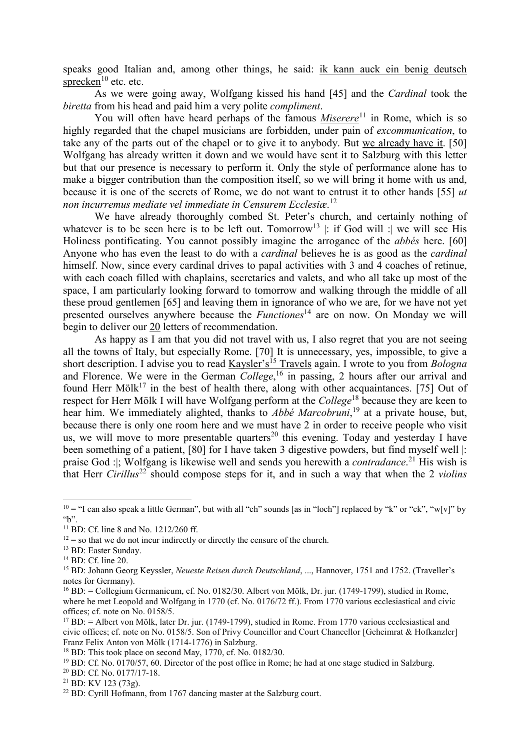speaks good Italian and, among other things, he said: ik kann auck ein benig deutsch sprecken $10$  etc. etc.

 As we were going away, Wolfgang kissed his hand [45] and the *Cardinal* took the *biretta* from his head and paid him a very polite *compliment*.

You will often have heard perhaps of the famous *Miserere*<sup>11</sup> in Rome, which is so highly regarded that the chapel musicians are forbidden, under pain of *excommunication*, to take any of the parts out of the chapel or to give it to anybody. But we already have it. [50] Wolfgang has already written it down and we would have sent it to Salzburg with this letter but that our presence is necessary to perform it. Only the style of performance alone has to make a bigger contribution than the composition itself, so we will bring it home with us and, because it is one of the secrets of Rome, we do not want to entrust it to other hands [55] *ut non incurremus mediate vel immediate in Censurem Ecclesiæ*. 12

 We have already thoroughly combed St. Peter's church, and certainly nothing of whatever is to be seen here is to be left out. Tomorrow<sup>13</sup> |: if God will : we will see His Holiness pontificating. You cannot possibly imagine the arrogance of the *abbés* here. [60] Anyone who has even the least to do with a *cardinal* believes he is as good as the *cardinal* himself. Now, since every cardinal drives to papal activities with 3 and 4 coaches of retinue, with each coach filled with chaplains, secretaries and valets, and who all take up most of the space, I am particularly looking forward to tomorrow and walking through the middle of all these proud gentlemen [65] and leaving them in ignorance of who we are, for we have not yet presented ourselves anywhere because the *Functiones*<sup>14</sup> are on now. On Monday we will begin to deliver our 20 letters of recommendation.

 As happy as I am that you did not travel with us, I also regret that you are not seeing all the towns of Italy, but especially Rome. [70] It is unnecessary, yes, impossible, to give a short description. I advise you to read Kaysler's<sup>15</sup> Travels again. I wrote to you from *Bologna* and Florence. We were in the German *College*, <sup>16</sup> in passing, 2 hours after our arrival and found Herr Mölk<sup>17</sup> in the best of health there, along with other acquaintances. [75] Out of respect for Herr Mölk I will have Wolfgang perform at the *College*<sup>18</sup> because they are keen to hear him. We immediately alighted, thanks to *Abbé Marcobruni*, <sup>19</sup> at a private house, but, because there is only one room here and we must have 2 in order to receive people who visit us, we will move to more presentable quarters<sup>20</sup> this evening. Today and yesterday I have been something of a patient, [80] for I have taken 3 digestive powders, but find myself well |: praise God :|; Wolfgang is likewise well and sends you herewith a *contradance*. <sup>21</sup> His wish is that Herr *Cirillus*<sup>22</sup> should compose steps for it, and in such a way that when the 2 *violins*

 $\overline{a}$ 

 $10 =$  "I can also speak a little German", but with all "ch" sounds [as in "loch"] replaced by "k" or "ck", "w[v]" by  $\mathcal{L}$ ".

<sup>&</sup>lt;sup>11</sup> BD: Cf. line 8 and No. 1212/260 ff.

 $12 =$  so that we do not incur indirectly or directly the censure of the church.

<sup>13</sup> BD: Easter Sunday.

<sup>14</sup> BD: Cf. line 20.

<sup>15</sup> BD: Johann Georg Keyssler, *Neueste Reisen durch Deutschland*, ..., Hannover, 1751 and 1752. (Traveller's notes for Germany).

<sup>16</sup> BD: = Collegium Germanicum, cf. No. 0182/30. Albert von Mölk, Dr. jur. (1749-1799), studied in Rome, where he met Leopold and Wolfgang in 1770 (cf. No. 0176/72 ff.). From 1770 various ecclesiastical and civic offices; cf. note on No. 0158/5.

 $17$  BD:  $=$  Albert von Mölk, later Dr. jur. (1749-1799), studied in Rome. From 1770 various ecclesiastical and civic offices; cf. note on No. 0158/5. Son of Privy Councillor and Court Chancellor [Geheimrat & Hofkanzler] Franz Felix Anton von Mölk (1714-1776) in Salzburg.

<sup>&</sup>lt;sup>18</sup> BD: This took place on second May, 1770, cf. No. 0182/30.

 $19$  BD: Cf. No. 0170/57, 60. Director of the post office in Rome; he had at one stage studied in Salzburg.

<sup>20</sup> BD: Cf. No. 0177/17-18.

<sup>21</sup> BD: KV 123 (73g).

<sup>&</sup>lt;sup>22</sup> BD: Cyrill Hofmann, from 1767 dancing master at the Salzburg court.